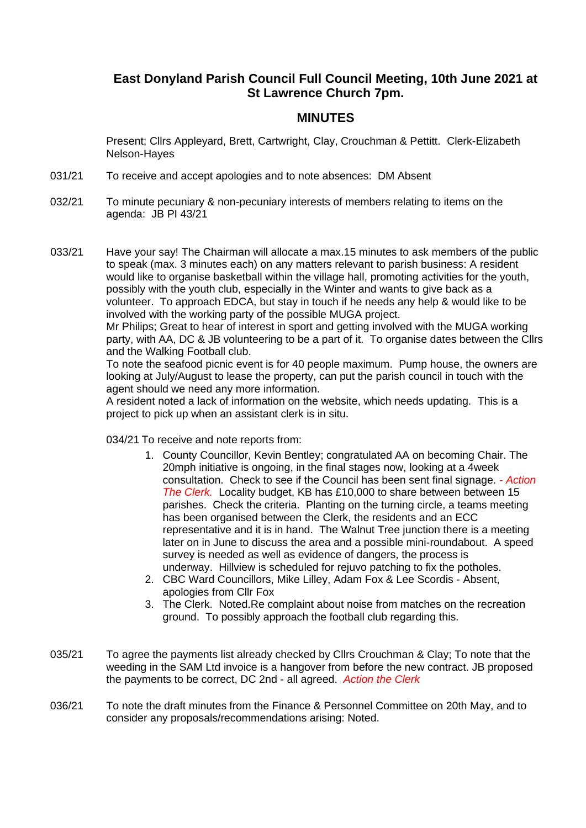## **East Donyland Parish Council Full Council Meeting, 10th June 2021 at St Lawrence Church 7pm.**

## **MINUTES**

Present; Cllrs Appleyard, Brett, Cartwright, Clay, Crouchman & Pettitt. Clerk-Elizabeth Nelson-Hayes

- 031/21 To receive and accept apologies and to note absences: DM Absent
- 032/21 To minute pecuniary & non-pecuniary interests of members relating to items on the agenda: JB PI 43/21
- 033/21 Have your say! The Chairman will allocate a max.15 minutes to ask members of the public to speak (max. 3 minutes each) on any matters relevant to parish business: A resident would like to organise basketball within the village hall, promoting activities for the youth, possibly with the youth club, especially in the Winter and wants to give back as a volunteer. To approach EDCA, but stay in touch if he needs any help & would like to be involved with the working party of the possible MUGA project.

Mr Philips; Great to hear of interest in sport and getting involved with the MUGA working party, with AA, DC & JB volunteering to be a part of it. To organise dates between the Cllrs and the Walking Football club.

To note the seafood picnic event is for 40 people maximum. Pump house, the owners are looking at July/August to lease the property, can put the parish council in touch with the agent should we need any more information.

A resident noted a lack of information on the website, which needs updating. This is a project to pick up when an assistant clerk is in situ.

034/21 To receive and note reports from:

- 1. County Councillor, Kevin Bentley; congratulated AA on becoming Chair. The 20mph initiative is ongoing, in the final stages now, looking at a 4week consultation. Check to see if the Council has been sent final signage. *- Action The Clerk.* Locality budget, KB has £10,000 to share between between 15 parishes. Check the criteria. Planting on the turning circle, a teams meeting has been organised between the Clerk, the residents and an ECC representative and it is in hand. The Walnut Tree junction there is a meeting later on in June to discuss the area and a possible mini-roundabout. A speed survey is needed as well as evidence of dangers, the process is underway. Hillview is scheduled for rejuvo patching to fix the potholes.
- 2. CBC Ward Councillors, Mike Lilley, Adam Fox & Lee Scordis Absent, apologies from Cllr Fox
- 3. The Clerk. Noted.Re complaint about noise from matches on the recreation ground. To possibly approach the football club regarding this.
- 035/21 To agree the payments list already checked by Cllrs Crouchman & Clay; To note that the weeding in the SAM Ltd invoice is a hangover from before the new contract. JB proposed the payments to be correct, DC 2nd - all agreed. *Action the Clerk*
- 036/21 To note the draft minutes from the Finance & Personnel Committee on 20th May, and to consider any proposals/recommendations arising: Noted.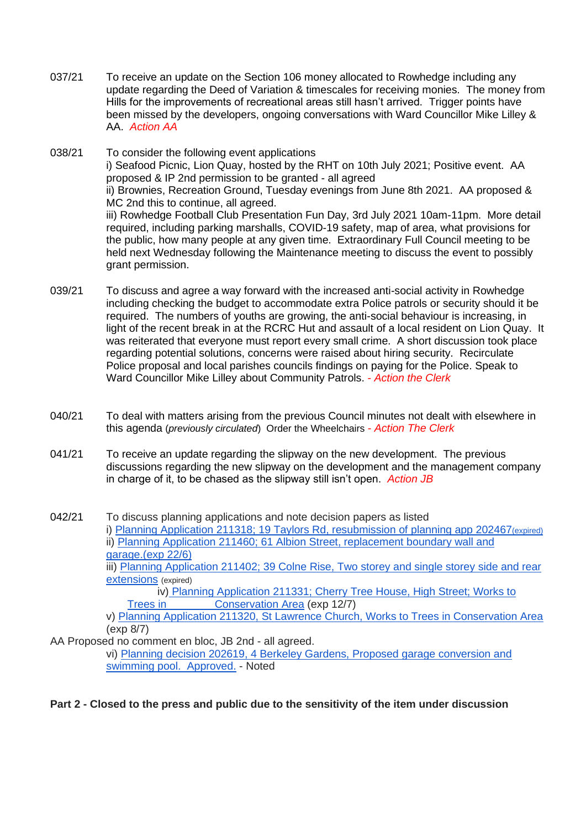- 037/21 To receive an update on the Section 106 money allocated to Rowhedge including any update regarding the Deed of Variation & timescales for receiving monies. The money from Hills for the improvements of recreational areas still hasn't arrived. Trigger points have been missed by the developers, ongoing conversations with Ward Councillor Mike Lilley & AA. *Action AA*
- 038/21 To consider the following event applications i) Seafood Picnic, Lion Quay, hosted by the RHT on 10th July 2021; Positive event. AA proposed & IP 2nd permission to be granted - all agreed ii) Brownies, Recreation Ground, Tuesday evenings from June 8th 2021. AA proposed & MC 2nd this to continue, all agreed. iii) Rowhedge Football Club Presentation Fun Day, 3rd July 2021 10am-11pm. More detail required, including parking marshalls, COVID-19 safety, map of area, what provisions for the public, how many people at any given time. Extraordinary Full Council meeting to be held next Wednesday following the Maintenance meeting to discuss the event to possibly grant permission.
- 039/21 To discuss and agree a way forward with the increased anti-social activity in Rowhedge including checking the budget to accommodate extra Police patrols or security should it be required. The numbers of youths are growing, the anti-social behaviour is increasing, in light of the recent break in at the RCRC Hut and assault of a local resident on Lion Quay. It was reiterated that everyone must report every small crime. A short discussion took place regarding potential solutions, concerns were raised about hiring security. Recirculate Police proposal and local parishes councils findings on paying for the Police. Speak to Ward Councillor Mike Lilley about Community Patrols. *- Action the Clerk*
- 040/21 To deal with matters arising from the previous Council minutes not dealt with elsewhere in this agenda (*previously circulated*) Order the Wheelchairs *- Action The Clerk*
- 041/21 To receive an update regarding the slipway on the new development. The previous discussions regarding the new slipway on the development and the management company in charge of it, to be chased as the slipway still isn't open. *Action JB*
- 042/21 To discuss planning applications and note decision papers as listed i) Planning Application 211318; 19 Taylors Rd, resubmission of planning app 202467(expired) ii) Planning Application 211460; 61 Albion Street, replacement boundary wall and garage.(exp 22/6) iii) Planning Application 211402; 39 Colne Rise, Two storey and single storey side and rear extensions (expired) iv) Planning Application 211331; Cherry Tree House, High Street; Works to Trees in Conservation Area (exp 12/7) v) Planning Application 211320, St Lawrence Church, Works to Trees in Conservation Area

(exp 8/7)

AA Proposed no comment en bloc, JB 2nd - all agreed.

vi) Planning decision 202619, 4 Berkeley Gardens, Proposed garage conversion and swimming pool. Approved. - Noted

**Part 2 - Closed to the press and public due to the sensitivity of the item under discussion**